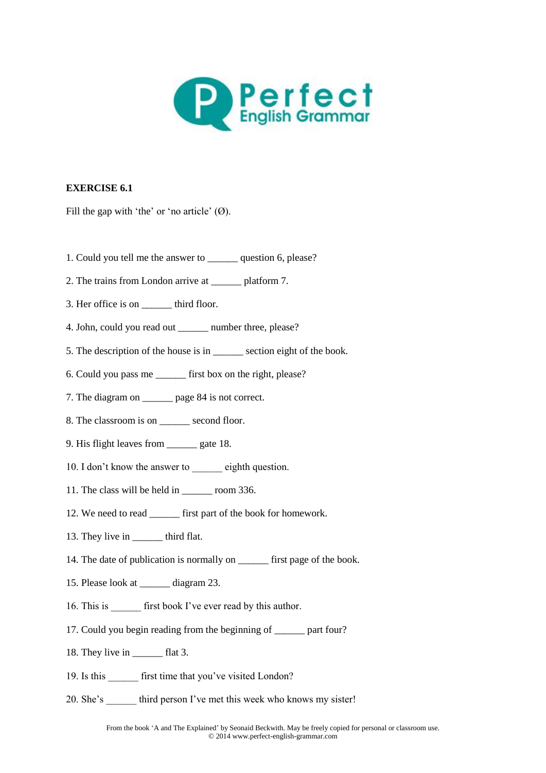

Fill the gap with 'the' or 'no article'  $(\emptyset)$ .

- 1. Could you tell me the answer to \_\_\_\_\_\_ question 6, please?
- 2. The trains from London arrive at \_\_\_\_\_\_ platform 7.
- 3. Her office is on \_\_\_\_\_\_\_ third floor.
- 4. John, could you read out number three, please?
- 5. The description of the house is in \_\_\_\_\_\_ section eight of the book.
- 6. Could you pass me \_\_\_\_\_\_ first box on the right, please?
- 7. The diagram on \_\_\_\_\_\_ page 84 is not correct.
- 8. The classroom is on \_\_\_\_\_\_ second floor.
- 9. His flight leaves from \_\_\_\_\_\_ gate 18.
- 10. I don't know the answer to eighth question.
- 11. The class will be held in \_\_\_\_\_\_ room 336.
- 12. We need to read \_\_\_\_\_\_\_ first part of the book for homework.
- 13. They live in \_\_\_\_\_\_\_\_ third flat.
- 14. The date of publication is normally on \_\_\_\_\_\_\_\_ first page of the book.
- 15. Please look at \_\_\_\_\_\_ diagram 23.
- 16. This is first book I've ever read by this author.
- 17. Could you begin reading from the beginning of part four?
- 18. They live in \_\_\_\_\_\_\_ flat 3.
- 19. Is this first time that you've visited London?
- 20. She's third person I've met this week who knows my sister!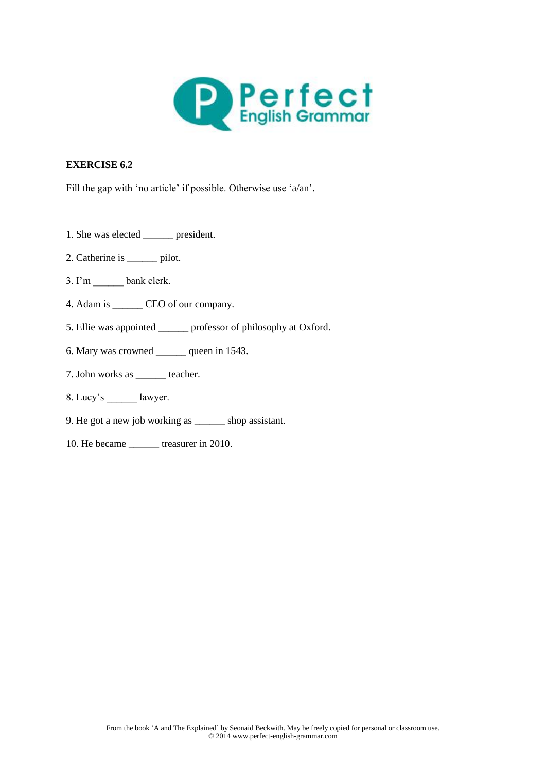

Fill the gap with 'no article' if possible. Otherwise use 'a/an'.

- 1. She was elected \_\_\_\_\_\_ president.
- 2. Catherine is <u>pilot</u>.
- 3. I'm bank clerk.
- 4. Adam is \_\_\_\_\_\_ CEO of our company.
- 5. Ellie was appointed \_\_\_\_\_\_ professor of philosophy at Oxford.
- 6. Mary was crowned \_\_\_\_\_\_ queen in 1543.
- 7. John works as \_\_\_\_\_\_ teacher.
- 8. Lucy's lawyer.
- 9. He got a new job working as \_\_\_\_\_\_ shop assistant.
- 10. He became \_\_\_\_\_\_ treasurer in 2010.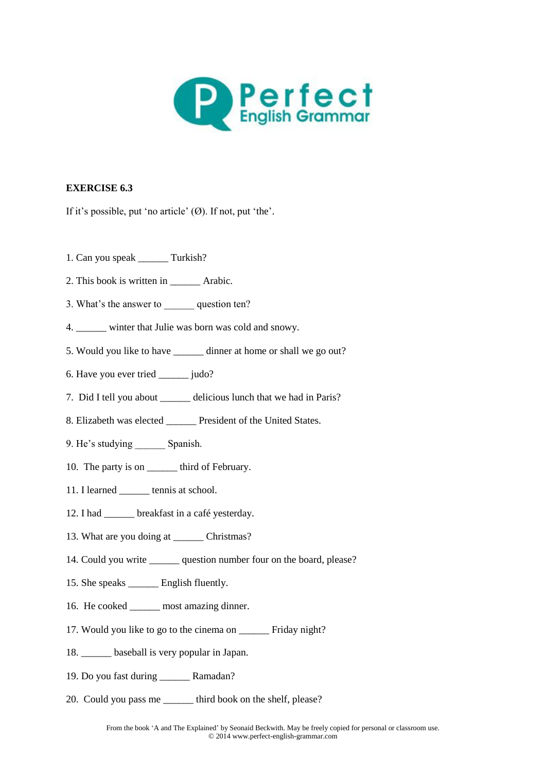

If it's possible, put 'no article' (Ø). If not, put 'the'.

- 1. Can you speak Turkish?
- 2. This book is written in \_\_\_\_\_\_ Arabic.
- 3. What's the answer to question ten?
- 4. winter that Julie was born was cold and snowy.
- 5. Would you like to have \_\_\_\_\_\_ dinner at home or shall we go out?
- 6. Have you ever tried \_\_\_\_\_\_ judo?
- 7. Did I tell you about \_\_\_\_\_\_ delicious lunch that we had in Paris?
- 8. Elizabeth was elected \_\_\_\_\_\_ President of the United States.
- 9. He's studying Spanish.
- 10. The party is on \_\_\_\_\_\_\_ third of February.
- 11. I learned \_\_\_\_\_\_ tennis at school.
- 12. I had breakfast in a café yesterday.
- 13. What are you doing at \_\_\_\_\_\_\_ Christmas?
- 14. Could you write question number four on the board, please?
- 15. She speaks \_\_\_\_\_\_ English fluently.
- 16. He cooked \_\_\_\_\_\_ most amazing dinner.
- 17. Would you like to go to the cinema on Friday night?
- 18. \_\_\_\_\_\_ baseball is very popular in Japan.
- 19. Do you fast during \_\_\_\_\_\_ Ramadan?
- 20. Could you pass me \_\_\_\_\_\_ third book on the shelf, please?